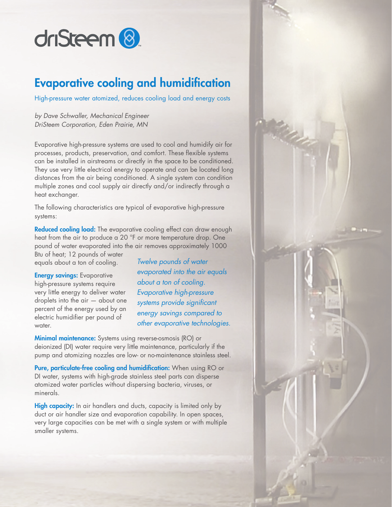

### Evaporative cooling and humidification

High-pressure water atomized, reduces cooling load and energy costs

*by Dave Schwaller, Mechanical Engineer DriSteem Corporation, Eden Prairie, MN*

Evaporative high-pressure systems are used to cool and humidify air for processes, products, preservation, and comfort. These flexible systems can be installed in airstreams or directly in the space to be conditioned. They use very little electrical energy to operate and can be located long distances from the air being conditioned. A single system can condition multiple zones and cool supply air directly and/or indirectly through a heat exchanger.

The following characteristics are typical of evaporative high-pressure systems:

Reduced cooling load: The evaporative cooling effect can draw enough heat from the air to produce a 20 °F or more temperature drop. One pound of water evaporated into the air removes approximately 1000

Btu of heat; 12 pounds of water equals about a ton of cooling.

**Energy savings: Evaporative** high-pressure systems require very little energy to deliver water droplets into the air — about one percent of the energy used by an electric humidifier per pound of water.

*Twelve pounds of water evaporated into the air equals about a ton of cooling. Evaporative high-pressure systems provide significant energy savings compared to other evaporative technologies.*

**Minimal maintenance:** Systems using reverse-osmosis (RO) or deionized (DI) water require very little maintenance, particularly if the pump and atomizing nozzles are low- or no-maintenance stainless steel.

Pure, particulate-free cooling and humidification: When using RO or DI water, systems with high-grade stainless steel parts can disperse atomized water particles without dispersing bacteria, viruses, or minerals.

High capacity: In air handlers and ducts, capacity is limited only by duct or air handler size and evaporation capability. In open spaces, very large capacities can be met with a single system or with multiple smaller systems.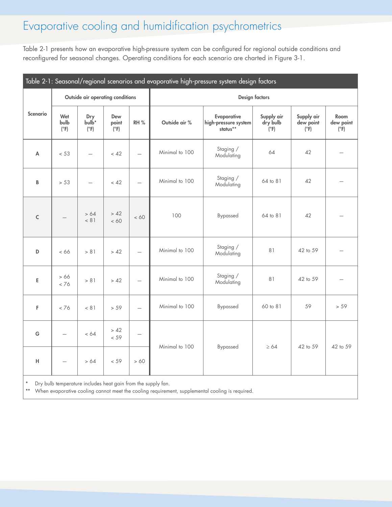# Evaporative cooling and humidification psychrometrics

Table 2-1 presents how an evaporative high-pressure system can be configured for regional outside conditions and reconfigured for seasonal changes. Operating conditions for each scenario are charted in Figure [3](#page-2-0)-1.

<span id="page-1-0"></span>

| Table 2-1: Seasonal/regional scenarios and evaporative high-pressure system design factors |                                  |                                           |                                    |                          |                       |                                                 |                                       |                                          |                                    |
|--------------------------------------------------------------------------------------------|----------------------------------|-------------------------------------------|------------------------------------|--------------------------|-----------------------|-------------------------------------------------|---------------------------------------|------------------------------------------|------------------------------------|
| <b>Scenario</b>                                                                            | Outside air operating conditions |                                           |                                    |                          | <b>Design factors</b> |                                                 |                                       |                                          |                                    |
|                                                                                            | Wet<br>bulb<br>$(^{\circ}F)$     | Dry<br>bulb <sup>*</sup><br>$(^{\circ}F)$ | Dew<br>point<br>$'$ ( $\degree$ F) | RH%                      | Outside air %         | Evaporative<br>high-pressure system<br>status** | Supply air<br>dry bulb<br>$(\circ$ F) | Supply air<br>dew point<br>$(^{\circ}F)$ | Room<br>dew point<br>$(^{\circ}F)$ |
| $\overline{\mathsf{A}}$                                                                    | < 53                             |                                           | < 42                               | $\overline{\phantom{0}}$ | Minimal to 100        | Staging /<br>Modulating                         | 64                                    | 42                                       |                                    |
| B                                                                                          | > 53                             |                                           | < 42                               | $\equiv$                 | Minimal to 100        | Staging /<br>Modulating                         | 64 to 81                              | 42                                       |                                    |
| $\mathsf{C}$                                                                               | $\overline{\phantom{0}}$         | > 64<br>< 81                              | > 42<br>< 60                       | < 60                     | 100                   | Bypassed                                        | 64 to 81                              | 42                                       |                                    |
| D                                                                                          | < 66                             | > 81                                      | > 42                               |                          | Minimal to 100        | Staging /<br>Modulating                         | 81                                    | 42 to 59                                 |                                    |
| E                                                                                          | >66<br>< 76                      | > 81                                      | > 42                               | $\overline{\phantom{0}}$ | Minimal to 100        | Staging /<br>Modulating                         | 81                                    | 42 to 59                                 |                                    |
| F                                                                                          | < 76                             | < 81                                      | > 59                               | $\overline{\phantom{0}}$ | Minimal to 100        | Bypassed                                        | 60 to 81                              | 59                                       | > 59                               |
| G                                                                                          | $\overline{\phantom{0}}$         | < 64                                      | > 42<br>< 59                       | $\overline{\phantom{0}}$ | Minimal to 100        | Bypassed                                        | $\geq 64$                             | 42 to 59                                 | 42 to 59                           |
| H                                                                                          | $\overline{\phantom{0}}$         | > 64                                      | < 59                               | >60                      |                       |                                                 |                                       |                                          |                                    |
|                                                                                            |                                  |                                           |                                    |                          |                       |                                                 |                                       |                                          |                                    |

\* Dry bulb temperature includes heat gain from the supply fan.

When evaporative cooling cannot meet the cooling requirement, supplemental cooling is required.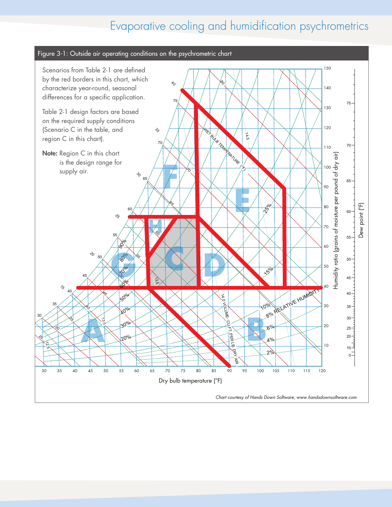# <span id="page-2-0"></span>Evaporative cooling and humidification psychrometrics